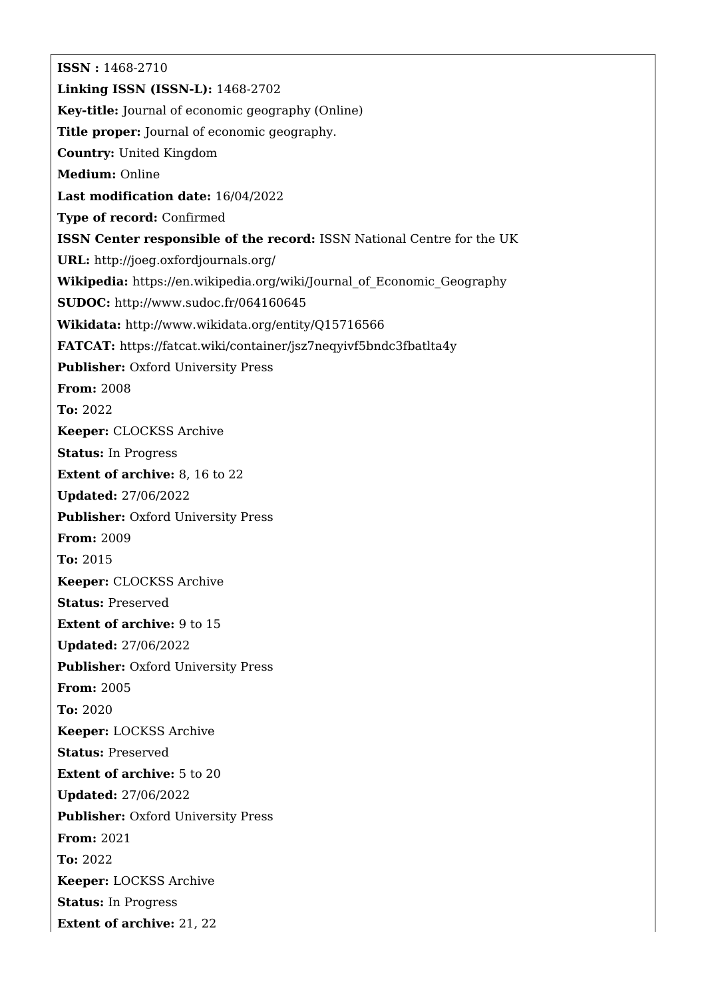**ISSN :** 1468-2710 **Linking ISSN (ISSN-L):** 1468-2702 **Key-title:** Journal of economic geography (Online) **Title proper:** Journal of economic geography. **Country:** United Kingdom **Medium:** Online **Last modification date:** 16/04/2022 **Type of record:** Confirmed **ISSN Center responsible of the record:** ISSN National Centre for the UK **URL:** <http://joeg.oxfordjournals.org/> **Wikipedia:** [https://en.wikipedia.org/wiki/Journal\\_of\\_Economic\\_Geography](https://en.wikipedia.org/wiki/Journal_of_Economic_Geography) **SUDOC:** <http://www.sudoc.fr/064160645> **Wikidata:** <http://www.wikidata.org/entity/Q15716566> **FATCAT:** <https://fatcat.wiki/container/jsz7neqyivf5bndc3fbatlta4y> **Publisher: Oxford University Press From:** 2008 **To:** 2022 **Keeper:** CLOCKSS Archive **Status:** In Progress **Extent of archive:** 8, 16 to 22 **Updated:** 27/06/2022 **Publisher:** Oxford University Press **From:** 2009 **To:** 2015 **Keeper:** CLOCKSS Archive **Status:** Preserved **Extent of archive:** 9 to 15 **Updated:** 27/06/2022 **Publisher:** Oxford University Press **From:** 2005 **To:** 2020 **Keeper:** LOCKSS Archive **Status:** Preserved **Extent of archive:** 5 to 20 **Updated:** 27/06/2022 **Publisher:** Oxford University Press **From:** 2021 **To:** 2022 **Keeper:** LOCKSS Archive **Status:** In Progress **Extent of archive:** 21, 22